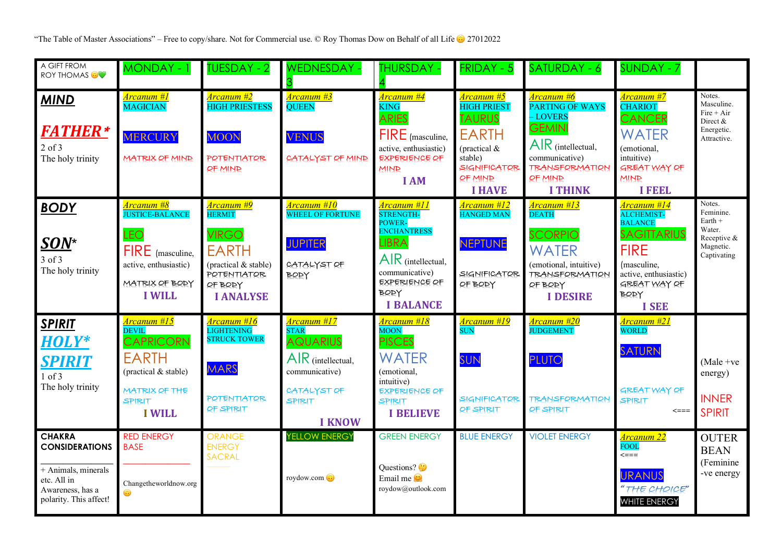"The Table of Master Associations" – Free to copy/share. Not for Commercial use. © Roy Thomas Dow on Behalf of all Life  $\odot$  27012022

| A GIFT FROM<br><b>ROY THOMAS OV</b>                                                                                        | MONDAY - 1                                                                                                                                        | <b>TUESDAY - 2</b>                                                                                                                                    | <b>WEDNESDAY -</b>                                                                                                                     | <b>THURSDAY -</b>                                                                                                                                                                   | <b>FRIDAY - 5</b>                                                                                                                                                     | SATURDAY - 6                                                                                                                                                                                         | <b>SUNDAY - 7</b>                                                                                                                                                                     |                                                                                       |
|----------------------------------------------------------------------------------------------------------------------------|---------------------------------------------------------------------------------------------------------------------------------------------------|-------------------------------------------------------------------------------------------------------------------------------------------------------|----------------------------------------------------------------------------------------------------------------------------------------|-------------------------------------------------------------------------------------------------------------------------------------------------------------------------------------|-----------------------------------------------------------------------------------------------------------------------------------------------------------------------|------------------------------------------------------------------------------------------------------------------------------------------------------------------------------------------------------|---------------------------------------------------------------------------------------------------------------------------------------------------------------------------------------|---------------------------------------------------------------------------------------|
| <b>MIND</b><br><b>FATHER*</b><br>$2$ of $3$<br>The holy trinity                                                            | <u>Arcanum #1</u><br><b>MAGICIAN</b><br><b>MERCURY</b><br><b>MATRIX OF MIND</b>                                                                   | Arcanum #2<br><b>HIGH PRIESTESS</b><br><b>MOON</b><br><b>POTENTIATOR</b><br><b><i>RF MIND</i></b>                                                     | <mark>Arcanum #3</mark><br><b>QUEEN</b><br><b>VENUS</b><br>CATALYST OF MIND                                                            | Arcanum #4<br><b>KING</b><br><b>ARIES</b><br>FIRE (masculine,<br>active, enthusiastic)<br><b>EXPERIENCE OF</b><br><b>MIND</b><br><b>I AM</b>                                        | <mark>Arcanum #5</mark><br><b>HIGH PRIEST</b><br><b>TAURUS</b><br><b>EARTH</b><br>(practical $&$<br>stable)<br><b>SIGNIFICATOR</b><br><b>OF MIND</b><br><b>I HAVE</b> | <mark>Arcanum #6</mark><br><b>PARTING OF WAYS</b><br><b>LOVERS</b><br><b>GEMINI</b><br>$\overline{AR}$ (intellectual,<br>communicative)<br><b>TRANSFORMATION</b><br><b>QF MIND</b><br><b>I THINK</b> | <mark>Arcanum #7</mark><br><b>CHARIOT</b><br>CANCER<br><b>WATER</b><br>(emotional,<br>intuitive)<br><b>GREAT WAY OF</b><br><b>MINR</b><br><b>I FEEL</b>                               | Notes.<br>Masculine.<br>$Fire + Air$<br>Direct $&$<br>Energetic.<br>Attractive.       |
| <b>BODY</b><br>SON*<br>3 of 3<br>The holy trinity                                                                          | <mark>Arcanum #8</mark><br><b>JUSTICE-BALANCE</b><br>LEO<br>$FIRE$ (masculine,<br>active, enthusiastic)<br>MATRIX OF BODY<br><b>I WILL</b>        | <mark>Arcanum #9</mark><br><b>HERMIT</b><br><b>VIRGO</b><br><b>EARTH</b><br>(practical & stable)<br><b>POTENTIATOR</b><br>OF BODY<br><b>I ANALYSE</b> | Arcanum #10<br><b>WHEEL OF FORTUNE</b><br><b>JUPITER</b><br>CATALYST OF<br>BODY                                                        | <mark>Arcanum #11</mark><br>STRENGTH-<br><b>POWER-</b><br><b>ENCHANTRESS</b><br>LIBRA<br>$AlR$ (intellectual,<br>communicative)<br><b>EXPERIENCE OF</b><br>BODY<br><b>I BALANCE</b> | <u>Arcanum #12</u><br><b>HANGED MAN</b><br><b>NEPTUNE</b><br><b>SIGNIFICATOR</b><br>OF BODY                                                                           | <u>Arcanum #13</u><br><b>DEATH</b><br><b>SCORPIO</b><br><b>WATER</b><br>(emotional, intuitive)<br><b>TRANSFORMATION</b><br>OF BORY<br><b>I DESIRE</b>                                                | <u>Arcanum #14</u><br><b>ALCHEMIST-</b><br><b>BALANCE</b><br><b>SAGITTARIUS</b><br><b>FIRE</b><br>(masculine,<br>active, enthusiastic)<br><b>GREAT WAY OF</b><br>BORY<br><b>I SEE</b> | Notes.<br>Feminine.<br>Earth $+$<br>Water.<br>Receptive &<br>Magnetic.<br>Captivating |
| <b>SPIRIT</b><br><b>HOLY*</b><br>SPIRIT<br>$1$ of $3$<br>The holy trinity                                                  | <u>Arcanum #15</u><br><b>DEVIL</b><br><b>CAPRICORN</b><br><b>EARTH</b><br>(practical & stable)<br><b>MATRIX OF THE</b><br>SPIRIT<br><b>I WILL</b> | <u>Arcanum #16</u><br>LIGHTENING<br><b>STRUCK TOWER</b><br><b>MARS</b><br>POTENTIATOR<br>OF SPIRIT                                                    | <mark>Arcanum #17</mark><br>STAR<br><b>AQUARIUS</b><br>$AR$ (intellectual,<br>communicative)<br>CATALYST OF<br>SPIRIT<br><b>I KNOW</b> | <mark>Arcanum #18</mark><br>MOON<br><b>PISCES</b><br><b>WATER</b><br>(emotional,<br>intuitive)<br><b>EXPERIENCE OF</b><br>SPIRIT<br><b>I BELIEVE</b>                                | <mark>Arcanum #19</mark><br>SUN<br>SUN<br><b>SIGNIFICATOR</b><br>OF SPIRIT                                                                                            | <u> Arcanum #20</u><br><b>JUDGEMENT</b><br><b>PLUTO</b><br><b>TRANSFORMATION</b><br>OF SPIRIT                                                                                                        | <mark>Arcanum #21</mark><br>WORLD<br>SATURN<br><b>GREAT WAY OF</b><br>SPIRIT<br>$\leq == =$                                                                                           | (Male + $ve$<br>energy)<br><b>INNER</b><br><b>SPIRIT</b>                              |
| <b>CHAKRA</b><br><b>CONSIDERATIONS</b><br>+ Animals, minerals<br>etc. All in<br>Awareness, has a<br>polarity. This affect! | <b>RED ENERGY</b><br><b>BASE</b><br>Changetheworldnow.org<br>$\bigodot$                                                                           | <b>ORANGE</b><br><b>ENERGY</b><br><b>SACRAL</b>                                                                                                       | <b>YELLOW ENERGY</b><br>roydow.com o                                                                                                   | <b>GREEN ENERGY</b><br>Questions?<br>Email me $\mathcal{Q}$<br>roydow@outlook.com                                                                                                   | <b>BLUE ENERGY</b>                                                                                                                                                    | <b>VIOLET ENERGY</b>                                                                                                                                                                                 | <mark>Arcanum 22</mark><br>FOOL<br>$\leq ==$<br><b>URANUS</b><br>"THE CHOICE"<br><b>WHITE ENERGY</b>                                                                                  | <b>OUTER</b><br><b>BEAN</b><br>(Feminine<br>-ve energy                                |